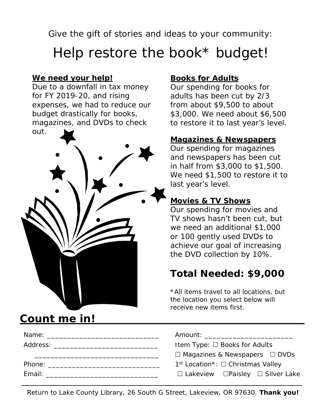Give the gift of stories and ideas to your community:

# Help restore the book\* budget!

## **We need your help!**

Due to a downfall in tax money for FY 2019-20, and rising expenses, we had to reduce our budget drastically for books, magazines, and DVDs to check out.



Name: \_\_\_\_\_\_\_\_\_\_\_\_\_\_\_\_\_\_\_\_\_\_\_\_\_\_\_\_ Amount: \_\_\_\_\_\_\_\_\_\_\_\_\_\_\_\_\_\_\_\_\_\_

## Count me in!

## **Books for Adults**

Our spending for books for adults has been cut by 2/3 from about \$9,500 to about \$3,000. We need about \$6,500 to restore it to last year's level.

## **Magazines & Newspapers**

Our spending for magazines and newspapers has been cut in half from \$3,000 to \$1,500. We need \$1,500 to restore it to last year's level.

## **Movies & TV Shows**

Our spending for movies and TV shows hasn't been cut, but we need an additional \$1,000 or 100 gently used DVDs to achieve our goal of increasing the DVD collection by 10%.

## **Total Needed: \$9,000**

\*All items travel to all locations, but the location you select below will receive new items first.

| Amount: |  |
|---------|--|
|         |  |

| Address: 1988 | Item Type: $\Box$ Books for Adults                    |
|---------------|-------------------------------------------------------|
|               | $\Box$ Magazines & Newspapers $\Box$ DVDs             |
| Phone:        | $1st$ Location <sup>*</sup> : $\Box$ Christmas Valley |
| Email:        | $\Box$ Lakeview $\Box$ Paisley $\Box$ Silver Lake     |

| Return to Lake County Library, 26 South G Street, Lakeview, OR 97630. Thank you! |  |  |  |
|----------------------------------------------------------------------------------|--|--|--|